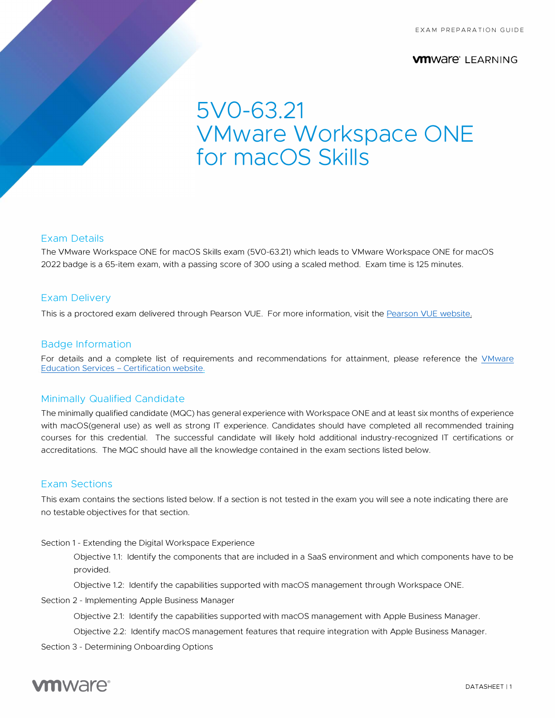#### **vmware**<sup>*\**</sup> LEARNING</sup>

# **SV0-63.21 VMware Workspace ONE for macOS Skills**

#### Exam Details

The VMware Workspace ONE for macOS Skills exam (5V0-63.21) which leads to VMware Workspace ONE for macOS 2022 badge is a 65-item exam, with a passing score of 300 using a scaled method. Exam time is 125 minutes.

#### Exam Delivery

This is a proctored exam delivered through Pearson VUE. For more information, visit the [Pearson VUE website.](https://www.pearsonvue.com/) 

#### Badge Information

[For details and a complete list of requirements and recommendations for attainment, please reference the VMware](https://www.vmware.com/learning/certification/) Education Services - Certification website.

#### Minimally Qualified Candidate

The minimally qualified candidate (MOC) has general experience with Workspace ONE and at least six months of experience with macOS(general use) as well as strong IT experience. Candidates should have completed all recommended training courses for this credential. The successful candidate will likely hold additional industry-recognized IT certifications or accreditations. The MOC should have all the knowledge contained in the exam sections listed below.

#### Exam Sections

This exam contains the sections listed below. If a section is not tested in the exam you will see a note indicating there are no testable objectives for that section.

Section 1 - Extending the Digital Workspace Experience

Objective 1.1: Identify the components that are included in a Saas environment and which components have to be provided.

Objective 1.2: Identify the capabilities supported with macOS management through Workspace ONE.

Section 2 - Implementing Apple Business Manager

Objective 2.1: Identify the capabilities supported with macOS management with Apple Business Manager.

Objective 2.2: Identify macOS management features that require integration with Apple Business Manager.

Section 3 - Determining Onboarding Options

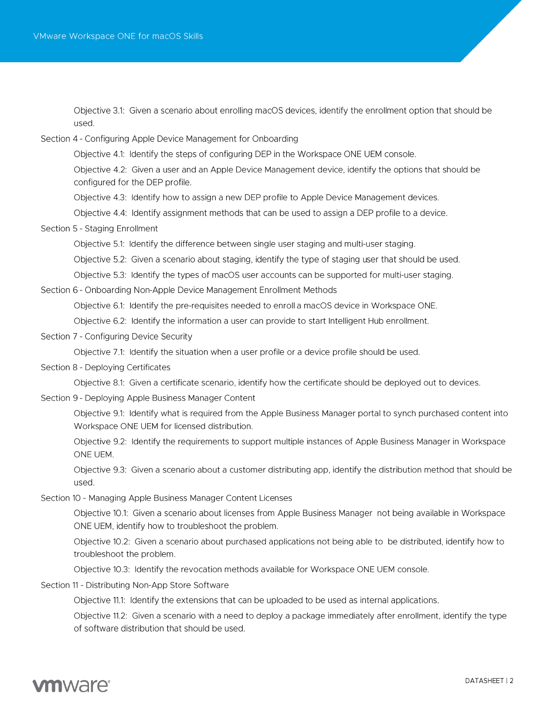Objective 3.1: Given a scenario about enrolling macOS devices, identify the enrollment option that should be used.

Section 4 - Configuring Apple Device Management for Onboarding

Objective 4.1: Identify the steps of configuring DEP in the Workspace ONE UEM console.

Objective 4.2: Given a user and an Apple Device Management device, identify the options that should be configured for the DEP profile.

Objective 4.3: Identify how to assign a new DEP profile to Apple Device Management devices.

Objective 4.4: Identify assignment methods that can be used to assign a DEP profile to a device.

Section 5 - Staging Enrollment

Objective 5.1: Identify the difference between single user staging and multi-user staging.

Objective 5.2: Given a scenario about staging, identify the type of staging user that should be used.

Objective 5.3: Identify the types of macOS user accounts can be supported for multi-user staging.

Section 6 - Onboarding Non-Apple Device Management Enrollment Methods

Objective 6.1: Identify the pre-requisites needed to enroll a macOS device in Workspace ONE.

Objective 6.2: Identify the information a user can provide to start Intelligent Hub enrollment.

Section 7 - Configuring Device Security

Objective 7.1: Identify the situation when a user profile or a device profile should be used.

Section 8 - Deploying Certificates

Objective 8.1: Given a certificate scenario, identify how the certificate should be deployed out to devices.

Section 9 - Deploying Apple Business Manager Content

Objective 9.1: Identify what is required from the Apple Business Manager portal to synch purchased content into Workspace ONE UEM for licensed distribution.

Objective 9.2: Identify the requirements to support multiple instances of Apple Business Manager in Workspace ONE UEM.

Objective 9.3: Given a scenario about a customer distributing app, identify the distribution method that should be used.

Section 10 - Managing Apple Business Manager Content Licenses

Objective 10.1: Given a scenario about licenses from Apple Business Manager not being available in Workspace ONE UEM, identify how to troubleshoot the problem.

Objective 10.2: Given a scenario about purchased applications not being able to be distributed, identify how to troubleshoot the problem.

Objective 10.3: Identify the revocation methods available for Workspace ONE UEM console.

Section 11 - Distributing Non-App Store Software

Objective 11.1: Identify the extensions that can be uploaded to be used as internal applications.

Objective 11.2: Given a scenario with a need to deploy a package immediately after enrollment, identify the type of software distribution that should be used.

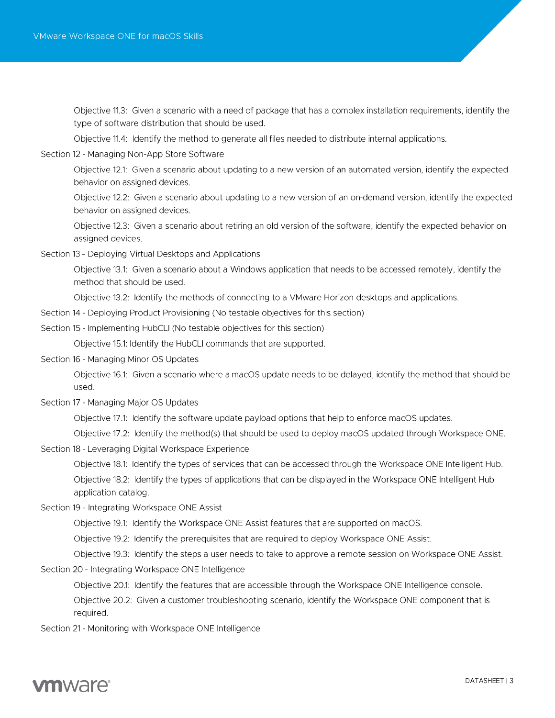Objective 11.3: Given a scenario with a need of package that has a complex installation requirements, identify the type of software distribution that should be used.

Objective 11.4: Identify the method to generate all files needed to distribute internal applications.

Section 12 - Managing Non-App Store Software

Objective 12.1: Given a scenario about updating to a new version of an automated version, identify the expected behavior on assigned devices.

Objective 12.2: Given a scenario about updating to a new version of an on-demand version, identify the expected behavior on assigned devices.

Objective 12.3: Given a scenario about retiring an old version of the software, identify the expected behavior on assigned devices.

Section 13 - Deploying Virtual Desktops and Applications

Objective 13.1: Given a scenario about a Windows application that needs to be accessed remotely, identify the method that should be used.

Objective 13.2: Identify the methods of connecting to a VMware Horizon desktops and applications.

- Section 14 Deploying Product Provisioning (No testable objectives for this section)
- Section 15 Implementing HubCLI (No testable objectives for this section) Objective 15.1: Identify the HubCLI commands that are supported.
- Section 16 Managing Minor OS Updates

Objective 16.1: Given a scenario where a macOS update needs to be delayed, identify the method that should be used.

Section 17 - Managing Major OS Updates

Objective 17.1: Identify the software update payload options that help to enforce macOS updates.

Objective 17.2: Identify the method(s) that should be used to deploy macOS updated through Workspace ONE.

Section 18 - Leveraging Digital Workspace Experience

Objective 18.1: Identify the types of services that can be accessed through the Workspace ONE Intelligent Hub. Objective 18.2: Identify the types of applications that can be displayed in the Workspace ONE Intelligent Hub application catalog.

Section 19 - Integrating Workspace ONE Assist

Objective 19.1: Identify the Workspace ONE Assist features that are supported on macOS.

Objective 19.2: Identify the prerequisites that are required to deploy Workspace ONE Assist.

Objective 19.3: Identify the steps a user needs to take to approve a remote session on Workspace ONE Assist.

Section 20 - Integrating Workspace ONE Intelligence

Objective 20.1: Identify the features that are accessible through the Workspace ONE Intelligence console.

Objective 20.2: Given a customer troubleshooting scenario, identify the Workspace ONE component that is required.

Section 21 - Monitoring with Workspace ONE Intelligence

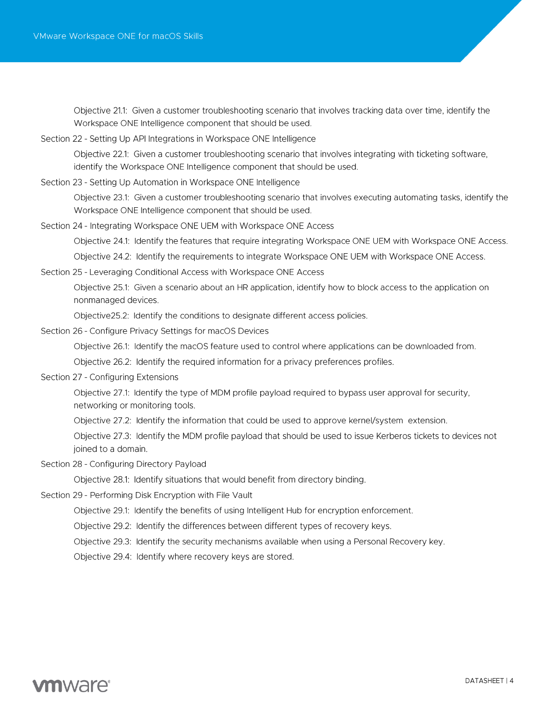Objective 21.1: Given a customer troubleshooting scenario that involves tracking data over time, identify the Workspace ONE Intelligence component that should be used.

- Section 22 Setting Up API Integrations in Workspace ONE Intelligence Objective 22.1: Given a customer troubleshooting scenario that involves integrating with ticketing software, identify the Workspace ONE Intelligence component that should be used.
- Section 23 Setting Up Automation in Workspace ONE Intelligence

Objective 23.1: Given a customer troubleshooting scenario that involves executing automating tasks, identify the Workspace ONE Intelligence component that should be used.

Section 24 - Integrating Workspace ONE UEM with Workspace ONE Access

Objective 24.1: Identify the features that require integrating Workspace ONE UEM with Workspace ONE Access.

Objective 24.2: Identify the requirements to integrate Workspace ONE UEM with Workspace ONE Access.

Section 25 - Leveraging Conditional Access with Workspace ONE Access

Objective 25.1: Given a scenario about an HR application, identify how to block access to the application on nonmanaged devices.

Objective 25.2: Identify the conditions to designate different access policies.

Section 26 - Configure Privacy Settings for macOS Devices

Objective 26.1: Identify the macOS feature used to control where applications can be downloaded from.

Objective 26.2: Identify the required information for a privacy preferences profiles.

Section 27 - Configuring Extensions

Objective 27.1: Identify the type of MDM profile payload required to bypass user approval for security. networking or monitoring tools.

Objective 27.2: Identify the information that could be used to approve kernel/system extension.

Objective 27.3: Identify the MDM profile payload that should be used to issue Kerberos tickets to devices not joined to a domain.

Section 28 - Configuring Directory Payload

Objective 28.1: Identify situations that would benefit from directory binding.

- Section 29 Performing Disk Encryption with File Vault
	- Objective 29.1: Identify the benefits of using Intelligent Hub for encryption enforcement.
	- Objective 29.2: Identify the differences between different types of recovery keys.

Objective 29.3: Identify the security mechanisms available when using a Personal Recovery key.

Objective 29.4: Identify where recovery keys are stored.

## **vm**ware<sup>®</sup>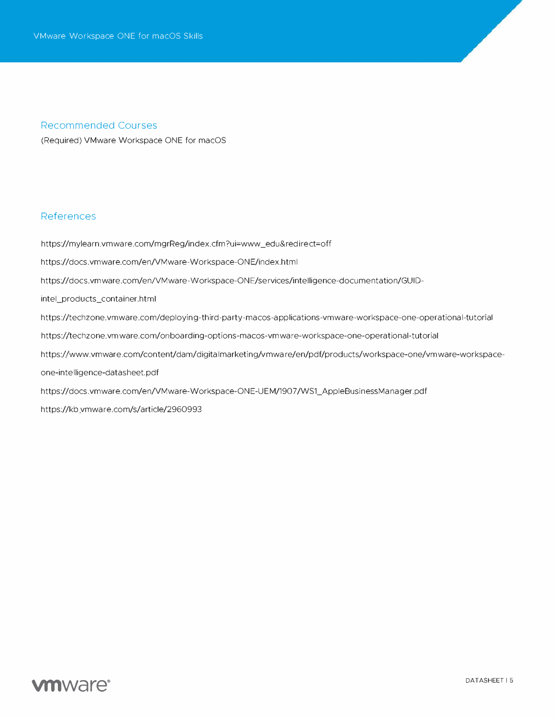#### **Recommended Courses**

(Required) VMware Workspace ONE for macOS

#### **References**

https://mylearn.vmware.com/mgrReg/index.cfm?ui=www\_edu&redirect=off https://docs.vmware.com/en/VMware-Workspace-ONE/index.html https://docs.vmware.com/en/VMware-Workspace-ONE/services/intelligence-documentation/GUIDintel\_products\_container.html https://techzone.vmware.com/deploying-third-party-macos-applications-vmware-workspace-one-operational-tutorial https://techzone.vmware.com/onboarding-options-macos-vmware-workspace-one-operational-tutorial https://www.vmware.com/content/dam/digitalmarketing/vmware/en/pdf/products/workspace-one/vmware-workspaceone-intelligence-datasheet.pdf https://docs.vmware.com/en/VMware-Workspace-ONE-UEM/1907/WS1\_AppleBusinessManager.pdf https://kb.vmware.com/s/article/2960993

### **vm**ware<sup>®</sup>